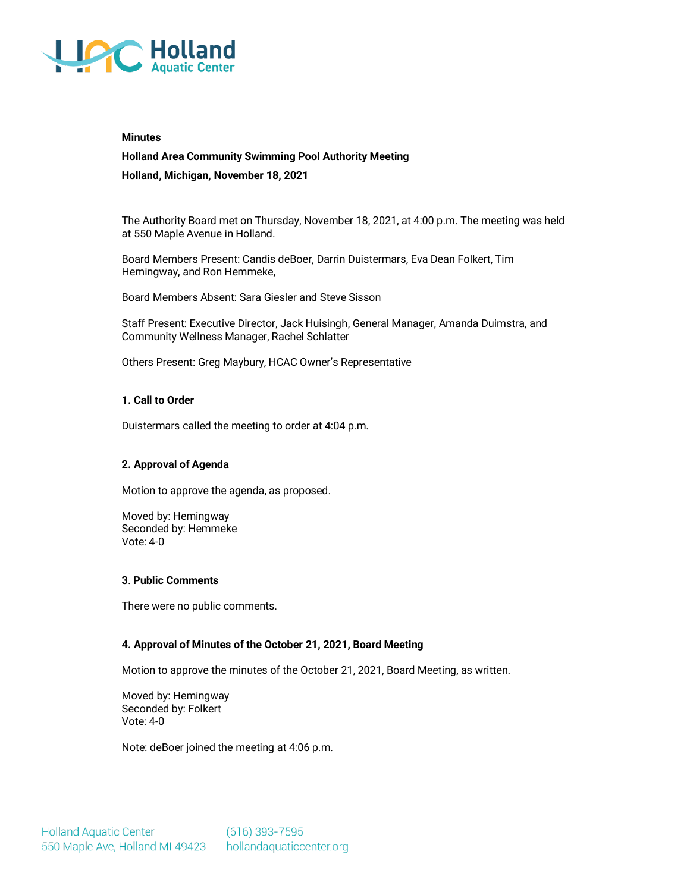

#### **Minutes**

# **Holland Area Community Swimming Pool Authority Meeting**

**Holland, Michigan, November 18, 2021**

The Authority Board met on Thursday, November 18, 2021, at 4:00 p.m. The meeting was held at 550 Maple Avenue in Holland.

Board Members Present: Candis deBoer, Darrin Duistermars, Eva Dean Folkert, Tim Hemingway, and Ron Hemmeke,

Board Members Absent: Sara Giesler and Steve Sisson

Staff Present: Executive Director, Jack Huisingh, General Manager, Amanda Duimstra, and Community Wellness Manager, Rachel Schlatter

Others Present: Greg Maybury, HCAC Owner's Representative

## **1. Call to Order**

Duistermars called the meeting to order at 4:04 p.m.

# **2. Approval of Agenda**

Motion to approve the agenda, as proposed.

Moved by: Hemingway Seconded by: Hemmeke Vote: 4-0

#### **3**. **Public Comments**

There were no public comments.

# **4. Approval of Minutes of the October 21, 2021, Board Meeting**

Motion to approve the minutes of the October 21, 2021, Board Meeting, as written.

Moved by: Hemingway Seconded by: Folkert Vote: 4-0

Note: deBoer joined the meeting at 4:06 p.m.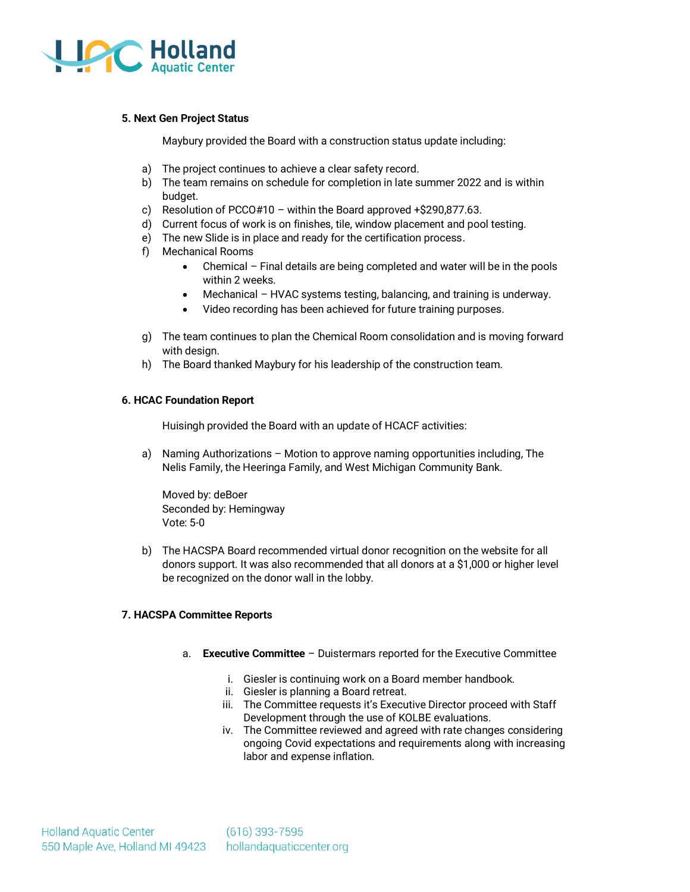

# **5. Next Gen Project Status**

Maybury provided the Board with a construction status update including:

- a) The project continues to achieve a clear safety record.
- b) The team remains on schedule for completion in late summer 2022 and is within budget.
- c) Resolution of PCCO#10 within the Board approved +\$290,877.63.
- d) Current focus of work is on finishes, tile, window placement and pool testing.
- e) The new Slide is in place and ready for the certification process.
- f) Mechanical Rooms
	- Chemical Final details are being completed and water will be in the pools within 2 weeks.
	- Mechanical HVAC systems testing, balancing, and training is underway.
	- Video recording has been achieved for future training purposes.
- g) The team continues to plan the Chemical Room consolidation and is moving forward with design.
- h) The Board thanked Maybury for his leadership of the construction team.

## **6. HCAC Foundation Report**

Huisingh provided the Board with an update of HCACF activities:

a) Naming Authorizations – Motion to approve naming opportunities including, The Nelis Family, the Heeringa Family, and West Michigan Community Bank.

Moved by: deBoer Seconded by: Hemingway Vote: 5-0

b) The HACSPA Board recommended virtual donor recognition on the website for all donors support. It was also recommended that all donors at a \$1,000 or higher level be recognized on the donor wall in the lobby.

# **7. HACSPA Committee Reports**

- a. **Executive Committee** Duistermars reported for the Executive Committee
	- i. Giesler is continuing work on a Board member handbook.
	- ii. Giesler is planning a Board retreat.
	- iii. The Committee requests it's Executive Director proceed with Staff Development through the use of KOLBE evaluations.
	- iv. The Committee reviewed and agreed with rate changes considering ongoing Covid expectations and requirements along with increasing labor and expense inflation.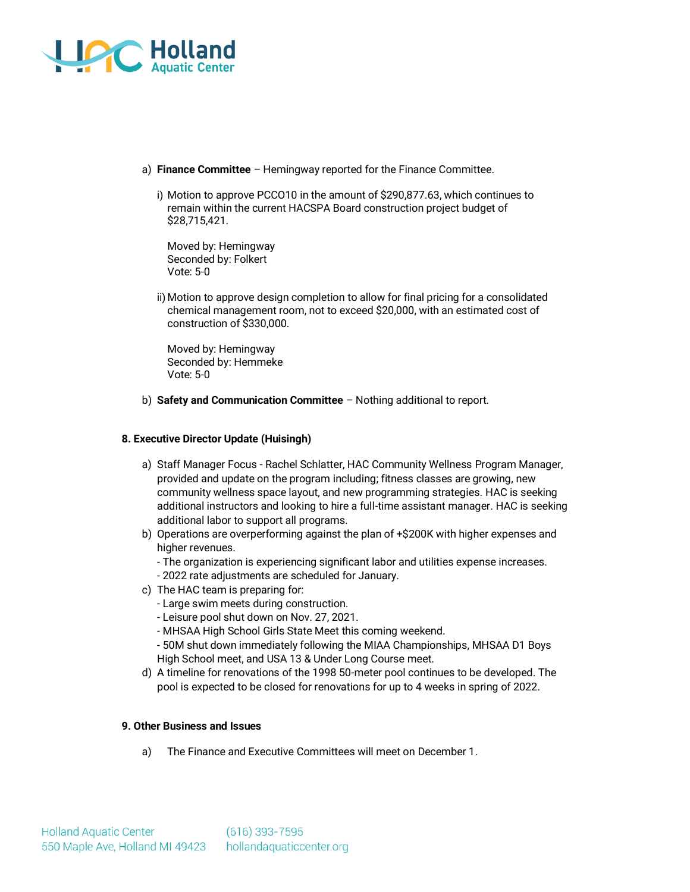

- a) **Finance Committee** Hemingway reported for the Finance Committee.
	- i) Motion to approve PCCO10 in the amount of \$290,877.63, which continues to remain within the current HACSPA Board construction project budget of \$28,715,421.

Moved by: Hemingway Seconded by: Folkert Vote: 5-0

ii) Motion to approve design completion to allow for final pricing for a consolidated chemical management room, not to exceed \$20,000, with an estimated cost of construction of \$330,000.

Moved by: Hemingway Seconded by: Hemmeke Vote: 5-0

b) **Safety and Communication Committee** – Nothing additional to report.

## **8. Executive Director Update (Huisingh)**

- a) Staff Manager Focus Rachel Schlatter, HAC Community Wellness Program Manager, provided and update on the program including; fitness classes are growing, new community wellness space layout, and new programming strategies. HAC is seeking additional instructors and looking to hire a full-time assistant manager. HAC is seeking additional labor to support all programs.
- b) Operations are overperforming against the plan of +\$200K with higher expenses and higher revenues.
	- The organization is experiencing significant labor and utilities expense increases.
	- 2022 rate adjustments are scheduled for January.
- c) The HAC team is preparing for:
	- Large swim meets during construction.
	- Leisure pool shut down on Nov. 27, 2021.
	- MHSAA High School Girls State Meet this coming weekend.
	- 50M shut down immediately following the MIAA Championships, MHSAA D1 Boys High School meet, and USA 13 & Under Long Course meet.
- d) A timeline for renovations of the 1998 50-meter pool continues to be developed. The pool is expected to be closed for renovations for up to 4 weeks in spring of 2022.

### **9. Other Business and Issues**

a) The Finance and Executive Committees will meet on December 1.